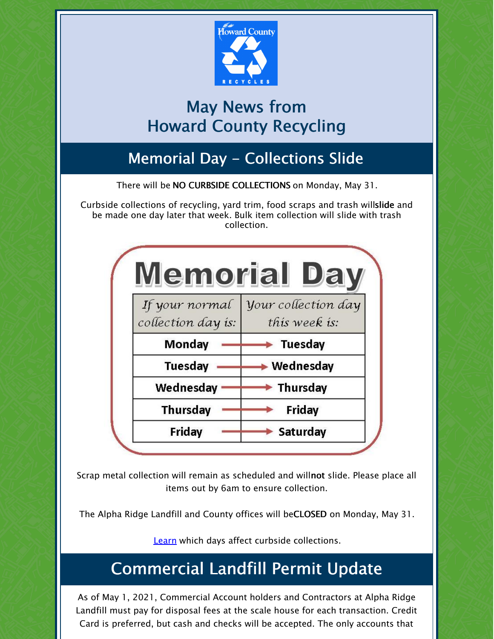

# May News from Howard County Recycling

# Memorial Day - Collections Slide

There will be NO CURBSIDE COLLECTIONS on Monday, May 31.

Curbside collections of recycling, yard trim, food scraps and trash willslide and be made one day later that week. Bulk item collection will slide with trash collection.

|                                      | <u>Memorial</u>                             |
|--------------------------------------|---------------------------------------------|
| If your normal<br>collection day is: | <i>your collection day</i><br>this week is: |
| Monday                               | Tuesday                                     |
| Tuesday                              | Wednesday                                   |
| Wednesday                            | • Thursday                                  |
| <b>Thursday</b>                      | Friday                                      |
| Friday                               | Saturday                                    |

Scrap metal collection will remain as scheduled and willnot slide. Please place all items out by 6am to ensure collection.

The Alpha Ridge Landfill and County offices will beCLOSED on Monday, May 31.

[Learn](https://www.howardcountymd.gov/Departments/Public-Works/Bureau-Of-Environmental-Services/Curbside-Collections/Holiday-Schedule-for-Recycling-Trash) which days affect curbside collections.

# Commercial Landfill Permit Update

As of May 1, 2021, Commercial Account holders and Contractors at Alpha Ridge Landfill must pay for disposal fees at the scale house for each transaction. Credit Card is preferred, but cash and checks will be accepted. The only accounts that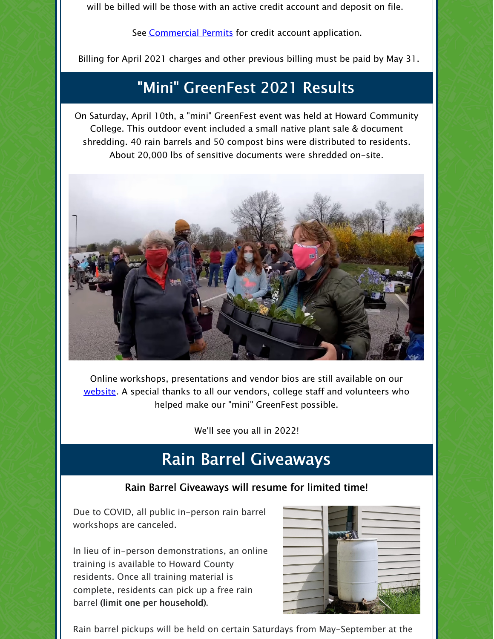will be billed will be those with an active credit account and deposit on file.

See **[Commercial](https://www.howardcountymd.gov/Departments/Public-Works/Bureau-Of-Environmental-Services/Alpha-Ridge-Landfill) Permits** for credit account application.

Billing for April 2021 charges and other previous billing must be paid by May 31.

### "Mini" GreenFest 2021 Results

On Saturday, April 10th, a "mini" GreenFest event was held at Howard Community College. This outdoor event included a small native plant sale & document shredding. 40 rain barrels and 50 compost bins were distributed to residents. About 20,000 lbs of sensitive documents were shredded on-site.



Online workshops, presentations and vendor bios are still available on our [website](https://www.howardcountymd.gov/Departments/County-Administration/Community-Sustainability/GreenFest). A special thanks to all our vendors, college staff and volunteers who helped make our "mini" GreenFest possible.

We'll see you all in 2022!

# Rain Barrel Giveaways

#### Rain Barrel Giveaways will resume for limited time!

Due to COVID, all public in-person rain barrel workshops are canceled.

In lieu of in-person demonstrations, an online training is available to Howard County residents. Once all training material is complete, residents can pick up a free rain barrel (limit one per household).



Rain barrel pickups will be held on certain Saturdays from May-September at the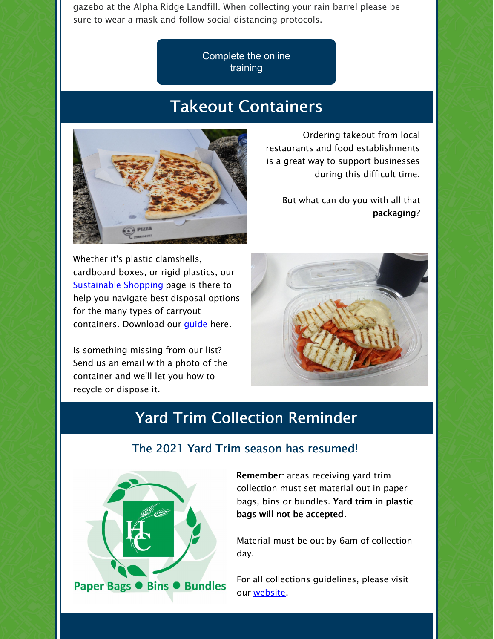gazebo at the Alpha Ridge Landfill. When collecting your rain barrel please be sure to wear a mask and follow social distancing protocols.

> [Complete](https://form.jotform.com/210903955758162) the online training

### Takeout Containers



Ordering takeout from local restaurants and food establishments is a great way to support businesses during this difficult time.

But what can do you with all that packaging?

Whether it's plastic clamshells, cardboard boxes, or rigid plastics, our [Sustainable](https://www.howardcountymd.gov/Departments/Public-Works/Bureau-Of-Environmental-Services/Recycling/Know-Before-You-Throw/Sustainable-Shopping) Shopping page is there to help you navigate best disposal options for the many types of carryout containers. Download our *quide* here.

Is something missing from our list? Send us an email with a photo of the container and we'll let you how to recycle or dispose it.



# Yard Trim Collection Reminder



The 2021 Yard Trim season has resumed!

Remember: areas receiving yard trim collection must set material out in paper bags, bins or bundles. Yard trim in plastic bags will not be accepted.

Material must be out by 6am of collection day.

For all collections guidelines, please visit our [website](https://www.howardcountymd.gov/Departments/Public-Works/Bureau-Of-Environmental-Services/Curbside-Collections#Yard-Trim-66).